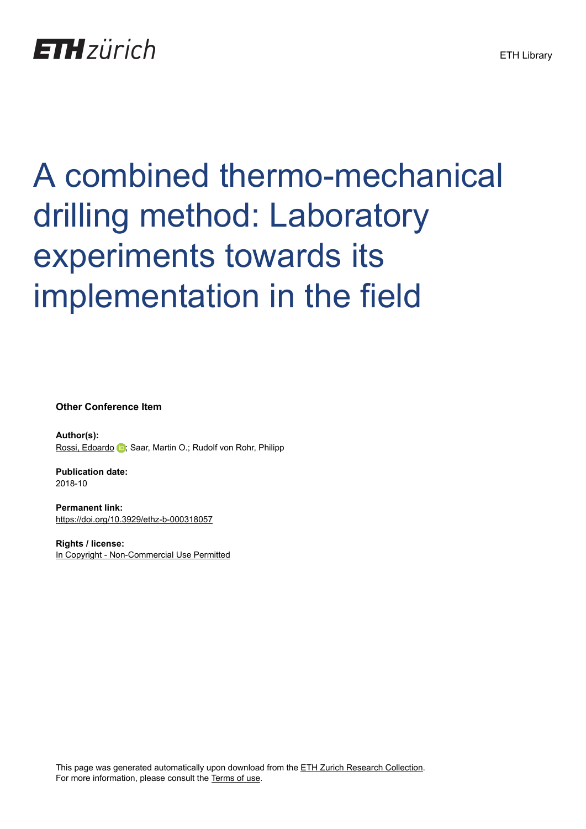## **ETH** zürich

# A combined thermo-mechanical drilling method: Laboratory experiments towards its implementation in the field

**Other Conference Item**

**Author(s):** [Rossi, Edoardo](https://orcid.org/0000-0002-2710-5887) **D**; Saar, Martin O.; Rudolf von Rohr, Philipp

**Publication date:** 2018-10

**Permanent link:** <https://doi.org/10.3929/ethz-b-000318057>

**Rights / license:** [In Copyright - Non-Commercial Use Permitted](http://rightsstatements.org/page/InC-NC/1.0/)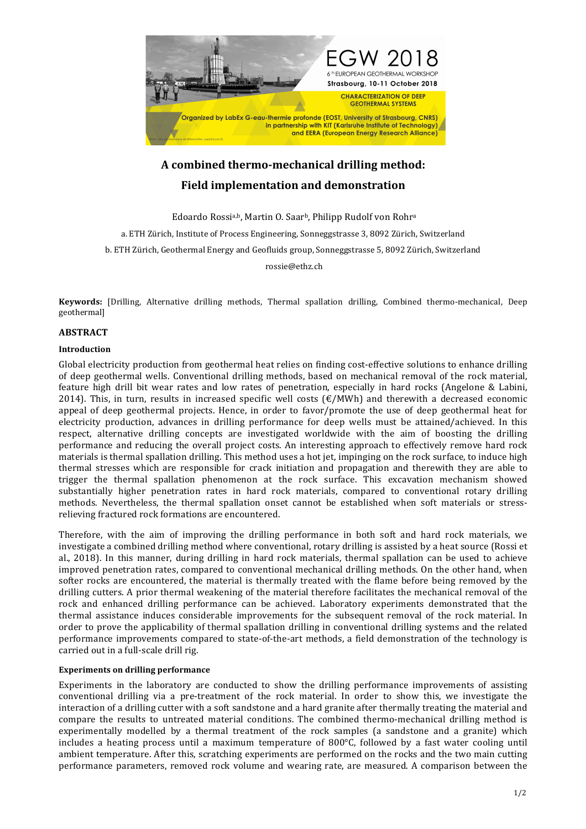

### A combined thermo-mechanical drilling method: **Field implementation and demonstration**

Edoardo Rossia,b, Martin O. Saarb, Philipp Rudolf von Rohra a. ETH Zürich, Institute of Process Engineering, Sonneggstrasse 3, 8092 Zürich, Switzerland b. ETH Zürich, Geothermal Energy and Geofluids group, Sonneggstrasse 5, 8092 Zürich, Switzerland rossie@ethz.ch

**Keywords:** [Drilling, Alternative drilling methods, Thermal spallation drilling, Combined thermo-mechanical, Deep geothermal]

#### **ABSTRACT**

#### **Introduction**

Global electricity production from geothermal heat relies on finding cost-effective solutions to enhance drilling of deep geothermal wells. Conventional drilling methods, based on mechanical removal of the rock material, feature high drill bit wear rates and low rates of penetration, especially in hard rocks (Angelone & Labini, 2014). This, in turn, results in increased specific well costs  $(\text{E}/\text{MWh})$  and therewith a decreased economic appeal of deep geothermal projects. Hence, in order to favor/promote the use of deep geothermal heat for electricity production, advances in drilling performance for deep wells must be attained/achieved. In this respect, alternative drilling concepts are investigated worldwide with the aim of boosting the drilling performance and reducing the overall project costs. An interesting approach to effectively remove hard rock materials is thermal spallation drilling. This method uses a hot jet, impinging on the rock surface, to induce high thermal stresses which are responsible for crack initiation and propagation and therewith they are able to trigger the thermal spallation phenomenon at the rock surface. This excavation mechanism showed substantially higher penetration rates in hard rock materials, compared to conventional rotary drilling methods. Nevertheless, the thermal spallation onset cannot be established when soft materials or stressrelieving fractured rock formations are encountered.

Therefore, with the aim of improving the drilling performance in both soft and hard rock materials, we investigate a combined drilling method where conventional, rotary drilling is assisted by a heat source (Rossi et al., 2018). In this manner, during drilling in hard rock materials, thermal spallation can be used to achieve improved penetration rates, compared to conventional mechanical drilling methods. On the other hand, when softer rocks are encountered, the material is thermally treated with the flame before being removed by the drilling cutters. A prior thermal weakening of the material therefore facilitates the mechanical removal of the rock and enhanced drilling performance can be achieved. Laboratory experiments demonstrated that the thermal assistance induces considerable improvements for the subsequent removal of the rock material. In order to prove the applicability of thermal spallation drilling in conventional drilling systems and the related performance improvements compared to state-of-the-art methods, a field demonstration of the technology is carried out in a full-scale drill rig.

#### **Experiments on drilling performance**

Experiments in the laboratory are conducted to show the drilling performance improvements of assisting conventional drilling via a pre-treatment of the rock material. In order to show this, we investigate the interaction of a drilling cutter with a soft sandstone and a hard granite after thermally treating the material and compare the results to untreated material conditions. The combined thermo-mechanical drilling method is experimentally modelled by a thermal treatment of the rock samples (a sandstone and a granite) which includes a heating process until a maximum temperature of  $800^{\circ}$ C, followed by a fast water cooling until ambient temperature. After this, scratching experiments are performed on the rocks and the two main cutting performance parameters, removed rock volume and wearing rate, are measured. A comparison between the